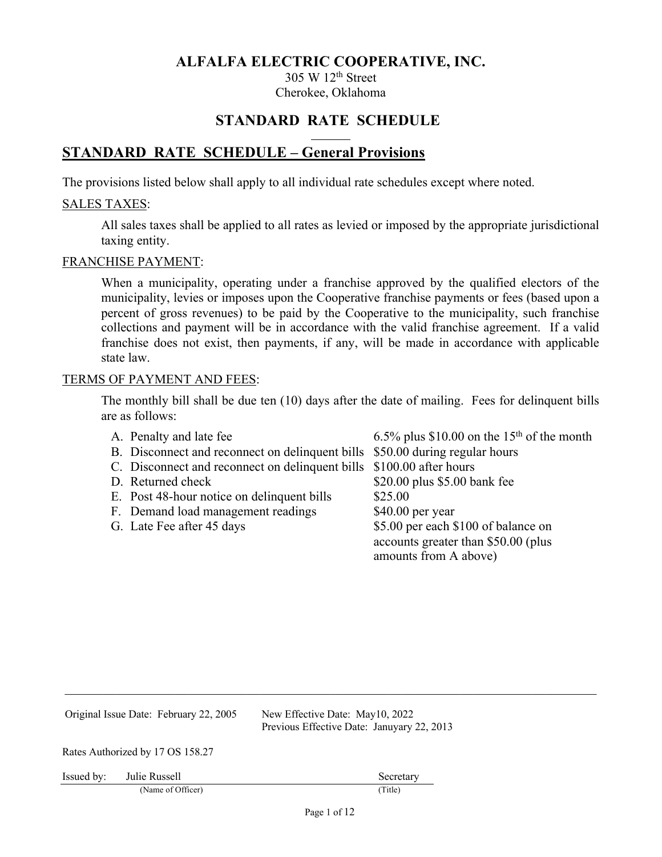305 W 12th Street Cherokee, Oklahoma

# **STANDARD RATE SCHEDULE**

# **STANDARD RATE SCHEDULE – General Provisions**

The provisions listed below shall apply to all individual rate schedules except where noted.

#### SALES TAXES:

All sales taxes shall be applied to all rates as levied or imposed by the appropriate jurisdictional taxing entity.

#### FRANCHISE PAYMENT:

When a municipality, operating under a franchise approved by the qualified electors of the municipality, levies or imposes upon the Cooperative franchise payments or fees (based upon a percent of gross revenues) to be paid by the Cooperative to the municipality, such franchise collections and payment will be in accordance with the valid franchise agreement. If a valid franchise does not exist, then payments, if any, will be made in accordance with applicable state law.

#### TERMS OF PAYMENT AND FEES:

The monthly bill shall be due ten (10) days after the date of mailing. Fees for delinquent bills are as follows:

| A. Penalty and late fee                                                      | 6.5% plus \$10.00 on the 15 <sup>th</sup> of the month                                              |
|------------------------------------------------------------------------------|-----------------------------------------------------------------------------------------------------|
| B. Disconnect and reconnect on delinquent bills \$50.00 during regular hours |                                                                                                     |
| C. Disconnect and reconnect on delinquent bills \$100.00 after hours         |                                                                                                     |
| D. Returned check                                                            | \$20.00 plus \$5.00 bank fee                                                                        |
| E. Post 48-hour notice on delinquent bills                                   | \$25.00                                                                                             |
| F. Demand load management readings                                           | $$40.00$ per year                                                                                   |
| G. Late Fee after 45 days                                                    | \$5.00 per each \$100 of balance on<br>accounts greater than \$50.00 (plus<br>amounts from A above) |

| Original Issue Date: February 22, 2005 |                                  | New Effective Date: May10, 2022<br>Previous Effective Date: Januyary 22, 2013 |  |
|----------------------------------------|----------------------------------|-------------------------------------------------------------------------------|--|
|                                        | Rates Authorized by 17 OS 158.27 |                                                                               |  |
| Issued by:                             | Julie Russell                    | Secretary                                                                     |  |
|                                        | (Name of Officer)                | (Title)                                                                       |  |
|                                        |                                  | Page 1 of $12$                                                                |  |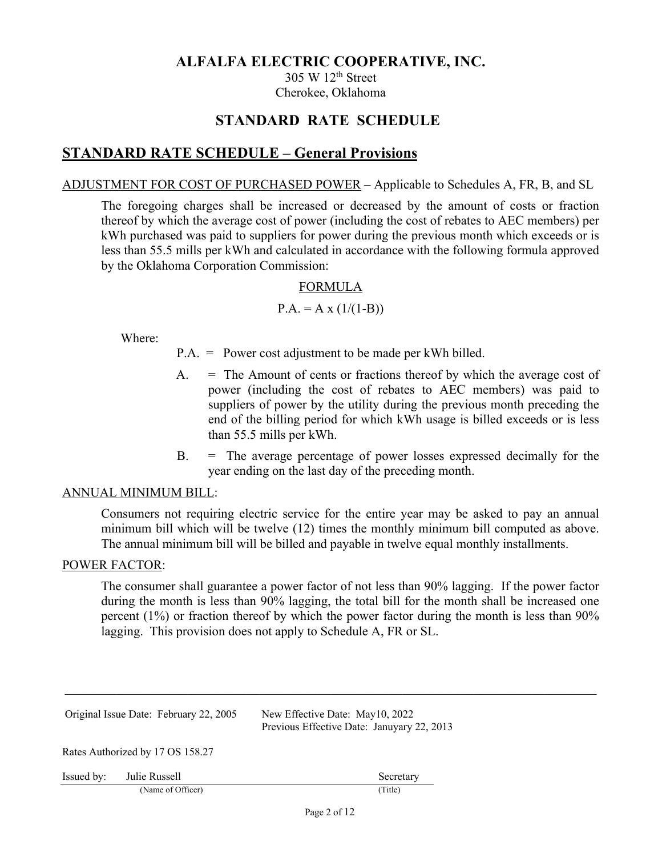305 W 12th Street Cherokee, Oklahoma

# **STANDARD RATE SCHEDULE**

# **STANDARD RATE SCHEDULE – General Provisions**

## ADJUSTMENT FOR COST OF PURCHASED POWER – Applicable to Schedules A, FR, B, and SL

The foregoing charges shall be increased or decreased by the amount of costs or fraction thereof by which the average cost of power (including the cost of rebates to AEC members) per kWh purchased was paid to suppliers for power during the previous month which exceeds or is less than 55.5 mills per kWh and calculated in accordance with the following formula approved by the Oklahoma Corporation Commission:

## FORMULA

## $P.A. = A x (1/(1-B))$

Where:

- P.A. = Power cost adjustment to be made per kWh billed.
- A. = The Amount of cents or fractions thereof by which the average cost of power (including the cost of rebates to AEC members) was paid to suppliers of power by the utility during the previous month preceding the end of the billing period for which kWh usage is billed exceeds or is less than 55.5 mills per kWh.
- B. = The average percentage of power losses expressed decimally for the year ending on the last day of the preceding month.

## ANNUAL MINIMUM BILL:

Consumers not requiring electric service for the entire year may be asked to pay an annual minimum bill which will be twelve (12) times the monthly minimum bill computed as above. The annual minimum bill will be billed and payable in twelve equal monthly installments.

#### POWER FACTOR:

The consumer shall guarantee a power factor of not less than 90% lagging. If the power factor during the month is less than 90% lagging, the total bill for the month shall be increased one percent (1%) or fraction thereof by which the power factor during the month is less than 90% lagging. This provision does not apply to Schedule A, FR or SL.

|            | Original Issue Date: February 22, 2005 | New Effective Date: May10, 2022<br>Previous Effective Date: Januyary 22, 2013 |
|------------|----------------------------------------|-------------------------------------------------------------------------------|
|            | Rates Authorized by 17 OS 158.27       |                                                                               |
| Issued by: | Julie Russell                          | Secretary                                                                     |
|            | (Name of Officer)                      | (Title)                                                                       |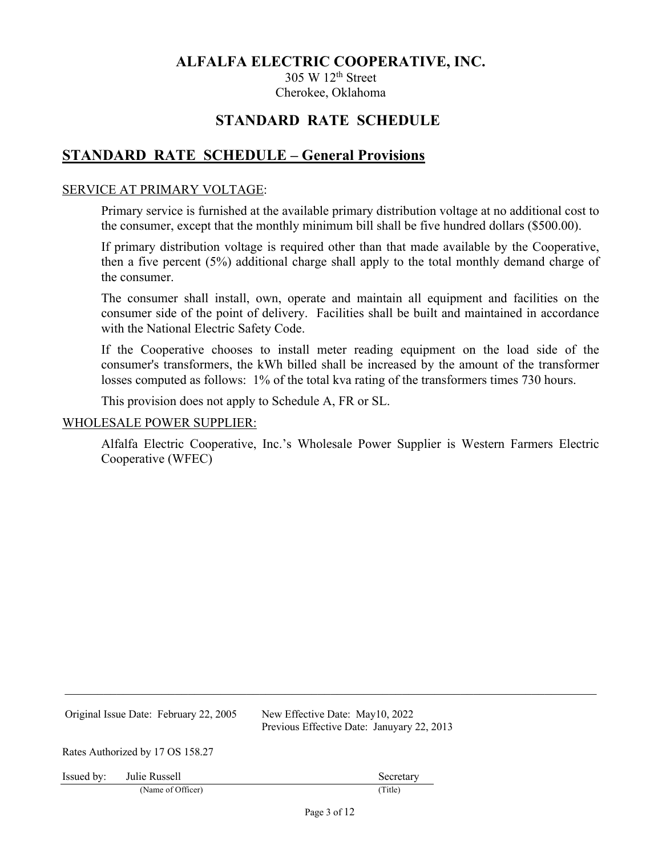305 W 12th Street Cherokee, Oklahoma

# **STANDARD RATE SCHEDULE**

# **STANDARD RATE SCHEDULE – General Provisions**

### SERVICE AT PRIMARY VOLTAGE:

Primary service is furnished at the available primary distribution voltage at no additional cost to the consumer, except that the monthly minimum bill shall be five hundred dollars (\$500.00).

If primary distribution voltage is required other than that made available by the Cooperative, then a five percent (5%) additional charge shall apply to the total monthly demand charge of the consumer.

The consumer shall install, own, operate and maintain all equipment and facilities on the consumer side of the point of delivery. Facilities shall be built and maintained in accordance with the National Electric Safety Code.

If the Cooperative chooses to install meter reading equipment on the load side of the consumer's transformers, the kWh billed shall be increased by the amount of the transformer losses computed as follows: 1% of the total kva rating of the transformers times 730 hours.

This provision does not apply to Schedule A, FR or SL.

#### WHOLESALE POWER SUPPLIER:

Alfalfa Electric Cooperative, Inc.'s Wholesale Power Supplier is Western Farmers Electric Cooperative (WFEC)

Original Issue Date: February 22, 2005 New Effective Date: May10, 2022

Previous Effective Date: Januyary 22, 2013

Rates Authorized by 17 OS 158.27

Issued by: Julie Russell Secretary Secretary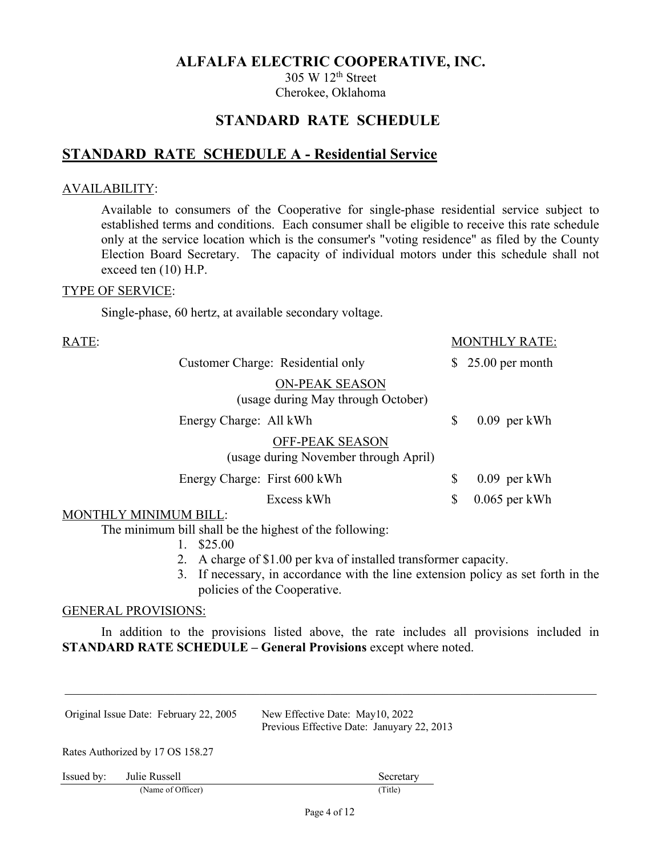305 W 12th Street Cherokee, Oklahoma

# **STANDARD RATE SCHEDULE**

# **STANDARD RATE SCHEDULE A - Residential Service**

## AVAILABILITY:

Available to consumers of the Cooperative for single-phase residential service subject to established terms and conditions. Each consumer shall be eligible to receive this rate schedule only at the service location which is the consumer's "voting residence" as filed by the County Election Board Secretary. The capacity of individual motors under this schedule shall not exceed ten (10) H.P.

#### TYPE OF SERVICE:

Single-phase, 60 hertz, at available secondary voltage.

| RATE:                 |                              |                                                                 | <b>MONTHLY RATE:</b>  |
|-----------------------|------------------------------|-----------------------------------------------------------------|-----------------------|
|                       |                              | Customer Charge: Residential only                               | $$25.00$ per month    |
|                       |                              | <b>ON-PEAK SEASON</b><br>(usage during May through October)     |                       |
|                       | Energy Charge: All kWh       |                                                                 | \$<br>$0.09$ per kWh  |
|                       |                              | <b>OFF-PEAK SEASON</b><br>(usage during November through April) |                       |
|                       | Energy Charge: First 600 kWh |                                                                 | \$<br>$0.09$ per kWh  |
|                       |                              | Excess kWh                                                      | \$<br>$0.065$ per kWh |
| MONTHLY MINIMUM BILL: |                              |                                                                 |                       |

The minimum bill shall be the highest of the following:

1. \$25.00

- 2. A charge of \$1.00 per kva of installed transformer capacity.
- 3. If necessary, in accordance with the line extension policy as set forth in the policies of the Cooperative.

#### GENERAL PROVISIONS:

In addition to the provisions listed above, the rate includes all provisions included in **STANDARD RATE SCHEDULE – General Provisions** except where noted.

|            | Original Issue Date: February 22, 2005 | New Effective Date: May10, 2022<br>Previous Effective Date: Januyary 22, 2013 |
|------------|----------------------------------------|-------------------------------------------------------------------------------|
|            | Rates Authorized by 17 OS 158.27       |                                                                               |
| Issued by: | Julie Russell                          | Secretary                                                                     |
|            | (Name of Officer)                      | (Title)                                                                       |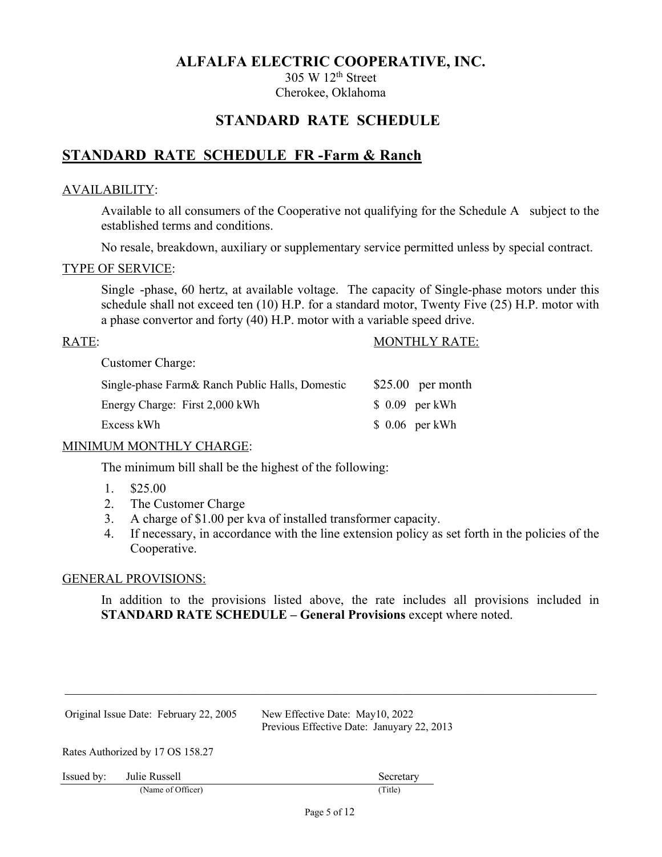305 W 12th Street Cherokee, Oklahoma

# **STANDARD RATE SCHEDULE**

# **STANDARD RATE SCHEDULE FR -Farm & Ranch**

## AVAILABILITY:

Available to all consumers of the Cooperative not qualifying for the Schedule A subject to the established terms and conditions.

No resale, breakdown, auxiliary or supplementary service permitted unless by special contract.

#### TYPE OF SERVICE:

Single -phase, 60 hertz, at available voltage. The capacity of Single-phase motors under this schedule shall not exceed ten (10) H.P. for a standard motor, Twenty Five (25) H.P. motor with a phase convertor and forty (40) H.P. motor with a variable speed drive.

## RATE: MONTHLY RATE:

Customer Charge:

| Single-phase Farm& Ranch Public Halls, Domestic | $$25.00$ per month |
|-------------------------------------------------|--------------------|
| Energy Charge: First 2,000 kWh                  | $$0.09$ per kWh    |
| Excess kWh                                      | $$0.06$ per kWh    |
|                                                 |                    |

## MINIMUM MONTHLY CHARGE:

The minimum bill shall be the highest of the following:

- 1. \$25.00
- 2. The Customer Charge
- 3. A charge of \$1.00 per kva of installed transformer capacity.
- 4. If necessary, in accordance with the line extension policy as set forth in the policies of the Cooperative.

#### GENERAL PROVISIONS:

In addition to the provisions listed above, the rate includes all provisions included in **STANDARD RATE SCHEDULE – General Provisions** except where noted.

|            | Original Issue Date: February 22, 2005 | New Effective Date: May10, 2022<br>Previous Effective Date: Januyary 22, 2013 |
|------------|----------------------------------------|-------------------------------------------------------------------------------|
|            | Rates Authorized by 17 OS 158.27       |                                                                               |
| Issued by: | Julie Russell                          | Secretary                                                                     |
|            | (Name of Officer)                      | (Title)                                                                       |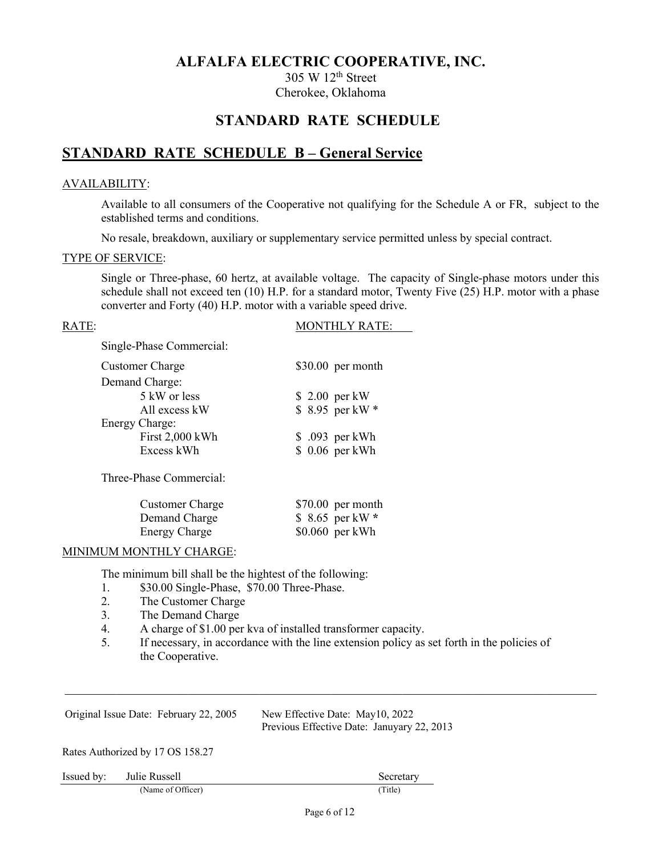305 W 12th Street Cherokee, Oklahoma

# **STANDARD RATE SCHEDULE**

# **STANDARD RATE SCHEDULE B – General Service**

#### AVAILABILITY:

Available to all consumers of the Cooperative not qualifying for the Schedule A or FR, subject to the established terms and conditions.

No resale, breakdown, auxiliary or supplementary service permitted unless by special contract.

#### TYPE OF SERVICE:

Single or Three-phase, 60 hertz, at available voltage. The capacity of Single-phase motors under this schedule shall not exceed ten (10) H.P. for a standard motor, Twenty Five (25) H.P. motor with a phase converter and Forty (40) H.P. motor with a variable speed drive.

RATE: MONTHLY RATE:

Single-Phase Commercial:

| <b>Customer Charge</b> | $$30.00$ per month |
|------------------------|--------------------|
| Demand Charge:         |                    |
| 5 kW or less           | \$ 2.00 per kW     |
| All excess kW          | \$ 8.95 per kW *   |
| Energy Charge:         |                    |
| First 2,000 kWh        | \$ .093 per kWh    |
| Excess kWh             | \$ 0.06 per kWh    |
|                        |                    |

Three-Phase Commercial:

| <b>Customer Charge</b> | $$70.00$ per month |
|------------------------|--------------------|
| Demand Charge          | $$8.65$ per kW *   |
| <b>Energy Charge</b>   | $$0.060$ per kWh   |

#### MINIMUM MONTHLY CHARGE:

The minimum bill shall be the hightest of the following:

- 1. \$30.00 Single-Phase, \$70.00 Three-Phase.
- 2. The Customer Charge
- 3. The Demand Charge
- 4. A charge of \$1.00 per kva of installed transformer capacity.
- 5. If necessary, in accordance with the line extension policy as set forth in the policies of the Cooperative.

Original Issue Date: February 22, 2005 New Effective Date: May10, 2022 Previous Effective Date: Januyary 22, 2013 Rates Authorized by 17 OS 158.27

| Issued by: | Julie Russell | secretai<br>. |
|------------|---------------|---------------|
|            |               |               |

(Name of Officer) (Title)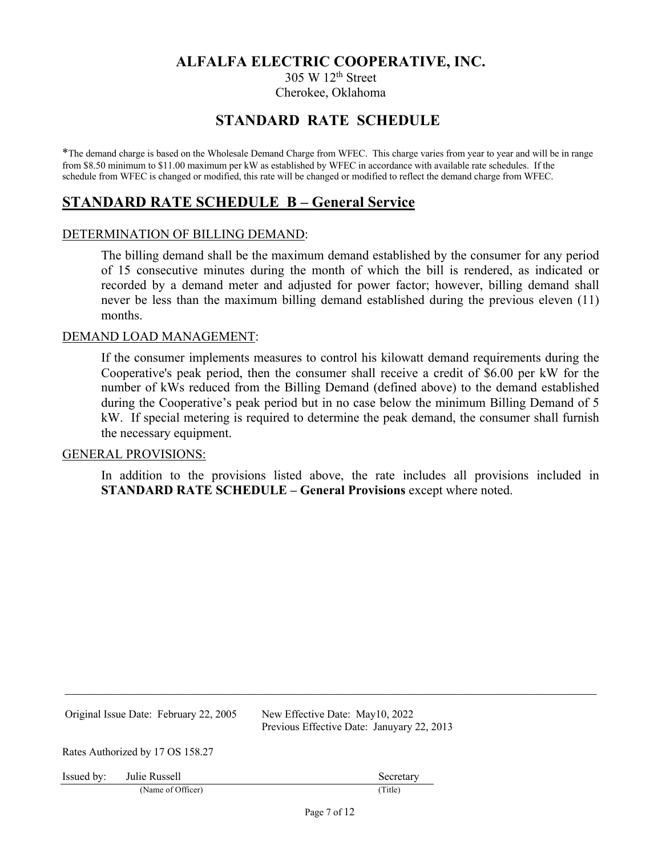305 W 12th Street Cherokee, Oklahoma

# **STANDARD RATE SCHEDULE**

\*The demand charge is based on the Wholesale Demand Charge from WFEC. This charge varies from year to year and will be in range from \$8.50 minimum to \$11.00 maximum per kW as established by WFEC in accordance with available rate schedules. If the schedule from WFEC is changed or modified, this rate will be changed or modified to reflect the demand charge from WFEC.

# **STANDARD RATE SCHEDULE B – General Service**

#### DETERMINATION OF BILLING DEMAND:

The billing demand shall be the maximum demand established by the consumer for any period of 15 consecutive minutes during the month of which the bill is rendered, as indicated or recorded by a demand meter and adjusted for power factor; however, billing demand shall never be less than the maximum billing demand established during the previous eleven (11) months.

#### DEMAND LOAD MANAGEMENT:

If the consumer implements measures to control his kilowatt demand requirements during the Cooperative's peak period, then the consumer shall receive a credit of \$6.00 per kW for the number of kWs reduced from the Billing Demand (defined above) to the demand established during the Cooperative's peak period but in no case below the minimum Billing Demand of 5 kW. If special metering is required to determine the peak demand, the consumer shall furnish the necessary equipment.

#### GENERAL PROVISIONS:

In addition to the provisions listed above, the rate includes all provisions included in **STANDARD RATE SCHEDULE – General Provisions** except where noted.

Original Issue Date: February 22, 2005 New Effective Date: May10, 2022

Previous Effective Date: Januyary 22, 2013

Rates Authorized by 17 OS 158.27

Issued by: Julie Russell Secretary Secretary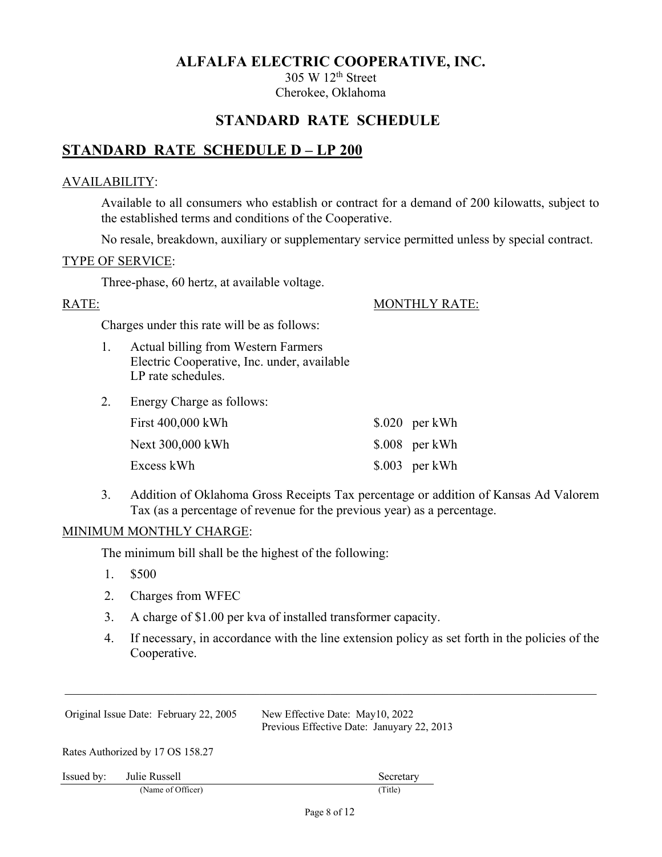305 W 12th Street Cherokee, Oklahoma

# **STANDARD RATE SCHEDULE**

# **STANDARD RATE SCHEDULE D – LP 200**

## AVAILABILITY:

Available to all consumers who establish or contract for a demand of 200 kilowatts, subject to the established terms and conditions of the Cooperative.

No resale, breakdown, auxiliary or supplementary service permitted unless by special contract.

### TYPE OF SERVICE:

Three-phase, 60 hertz, at available voltage.

RATE: MONTHLY RATE:

Charges under this rate will be as follows:

- 1. Actual billing from Western Farmers Electric Cooperative, Inc. under, available LP rate schedules.
- 2. Energy Charge as follows:

| First 400,000 kWh | $$.020$ per kWh |
|-------------------|-----------------|
| Next 300,000 kWh  | $$.008$ per kWh |
| Excess kWh        | $$.003$ per kWh |

3. Addition of Oklahoma Gross Receipts Tax percentage or addition of Kansas Ad Valorem Tax (as a percentage of revenue for the previous year) as a percentage.

## MINIMUM MONTHLY CHARGE:

The minimum bill shall be the highest of the following:

- 1. \$500
- 2. Charges from WFEC
- 3. A charge of \$1.00 per kva of installed transformer capacity.
- 4. If necessary, in accordance with the line extension policy as set forth in the policies of the Cooperative.

|            | Original Issue Date: February 22, 2005 | New Effective Date: May10, 2022<br>Previous Effective Date: Januyary 22, 2013 |
|------------|----------------------------------------|-------------------------------------------------------------------------------|
|            | Rates Authorized by 17 OS 158.27       |                                                                               |
| Issued by: | Julie Russell                          | Secretary                                                                     |
|            | (Name of Officer)                      | (Title)                                                                       |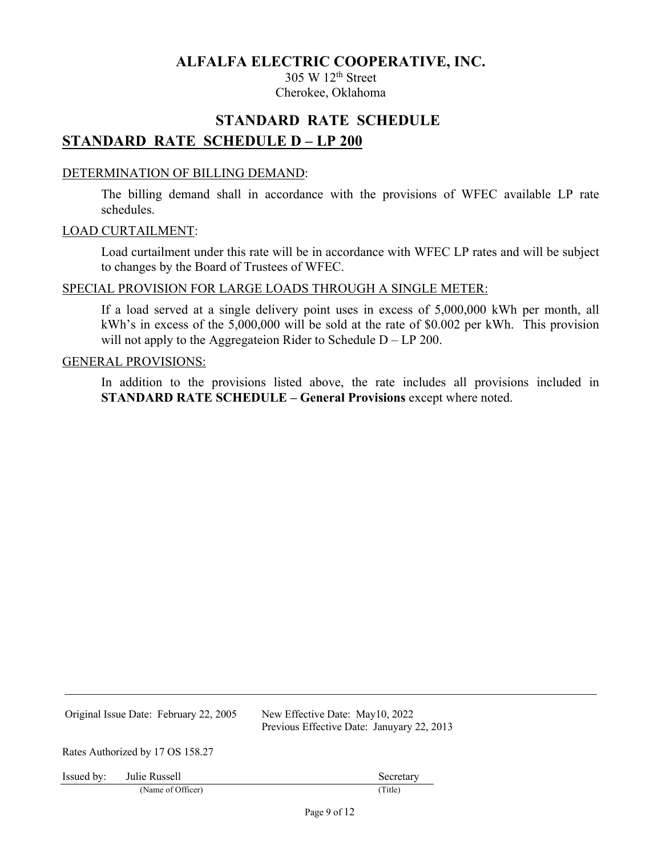305 W 12th Street Cherokee, Oklahoma

# **STANDARD RATE SCHEDULE STANDARD RATE SCHEDULE D – LP 200**

#### DETERMINATION OF BILLING DEMAND:

The billing demand shall in accordance with the provisions of WFEC available LP rate schedules.

#### LOAD CURTAILMENT:

Load curtailment under this rate will be in accordance with WFEC LP rates and will be subject to changes by the Board of Trustees of WFEC.

#### SPECIAL PROVISION FOR LARGE LOADS THROUGH A SINGLE METER:

If a load served at a single delivery point uses in excess of 5,000,000 kWh per month, all kWh's in excess of the 5,000,000 will be sold at the rate of \$0.002 per kWh. This provision will not apply to the Aggregateion Rider to Schedule D – LP 200.

#### GENERAL PROVISIONS:

In addition to the provisions listed above, the rate includes all provisions included in **STANDARD RATE SCHEDULE – General Provisions** except where noted.

Original Issue Date: February 22, 2005 New Effective Date: May10, 2022

Previous Effective Date: Januyary 22, 2013

Rates Authorized by 17 OS 158.27

Issued by: Julie Russell Secretary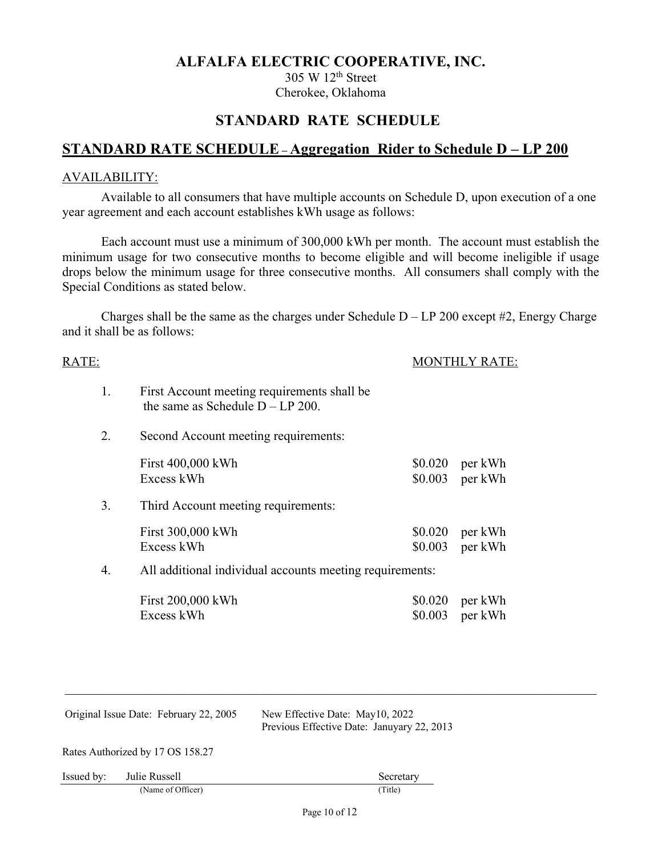305 W 12th Street Cherokee, Oklahoma

# **STANDARD RATE SCHEDULE**

# **STANDARD RATE SCHEDULE – Aggregation Rider to Schedule D – LP 200**

#### AVAILABILITY:

Available to all consumers that have multiple accounts on Schedule D, upon execution of a one year agreement and each account establishes kWh usage as follows:

Each account must use a minimum of 300,000 kWh per month. The account must establish the minimum usage for two consecutive months to become eligible and will become ineligible if usage drops below the minimum usage for three consecutive months. All consumers shall comply with the Special Conditions as stated below.

Charges shall be the same as the charges under Schedule  $D - LP 200$  except #2, Energy Charge and it shall be as follows:

| RATE: |                                                                                    |                    | <b>MONTHLY RATE:</b>        |  |
|-------|------------------------------------------------------------------------------------|--------------------|-----------------------------|--|
| 1.    | First Account meeting requirements shall be<br>the same as Schedule $D - LP 200$ . |                    |                             |  |
| 2.    | Second Account meeting requirements:                                               |                    |                             |  |
|       | First 400,000 kWh<br>Excess kWh                                                    | \$0.020<br>\$0.003 | per kWh<br>per kWh          |  |
| 3.    | Third Account meeting requirements:                                                |                    |                             |  |
|       | First 300,000 kWh<br>Excess kWh                                                    | \$0.020<br>\$0.003 | per kWh<br>per kWh          |  |
| 4.    | All additional individual accounts meeting requirements:                           |                    |                             |  |
|       | First 200,000 kWh<br>Excess kWh                                                    | \$0.020            | per kWh<br>$$0.003$ per kWh |  |

| Original Issue Date: February 22, 2005 |                   | New Effective Date: May10, 2022<br>Previous Effective Date: Januyary 22, 2013 |  |
|----------------------------------------|-------------------|-------------------------------------------------------------------------------|--|
| Rates Authorized by 17 OS 158.27       |                   |                                                                               |  |
| Issued by:                             | Julie Russell     | Secretary                                                                     |  |
|                                        | (Name of Officer) | (Title)                                                                       |  |
|                                        |                   | P <sub>0.09</sub> 10 of 12                                                    |  |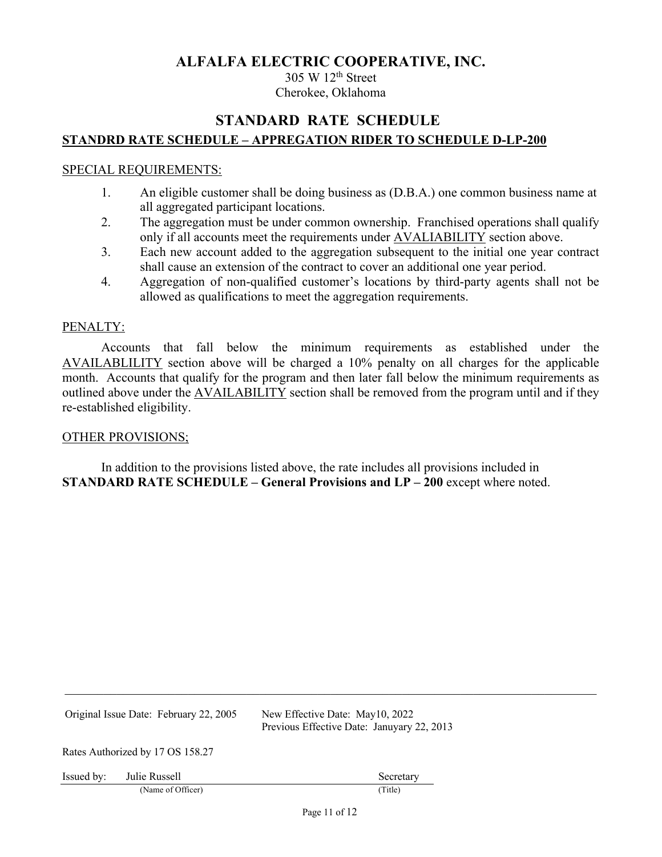305 W 12th Street Cherokee, Oklahoma

# **STANDARD RATE SCHEDULE STANDRD RATE SCHEDULE – APPREGATION RIDER TO SCHEDULE D-LP-200**

#### SPECIAL REQUIREMENTS:

- 1. An eligible customer shall be doing business as (D.B.A.) one common business name at all aggregated participant locations.
- 2. The aggregation must be under common ownership. Franchised operations shall qualify only if all accounts meet the requirements under **AVALIABILITY** section above.
- 3. Each new account added to the aggregation subsequent to the initial one year contract shall cause an extension of the contract to cover an additional one year period.
- 4. Aggregation of non-qualified customer's locations by third-party agents shall not be allowed as qualifications to meet the aggregation requirements.

#### PENALTY:

Accounts that fall below the minimum requirements as established under the AVAILABLILITY section above will be charged a 10% penalty on all charges for the applicable month. Accounts that qualify for the program and then later fall below the minimum requirements as outlined above under the AVAILABILITY section shall be removed from the program until and if they re-established eligibility.

#### OTHER PROVISIONS;

In addition to the provisions listed above, the rate includes all provisions included in **STANDARD RATE SCHEDULE – General Provisions and LP – 200** except where noted.

Original Issue Date: February 22, 2005 New Effective Date: May10, 2022 Previous Effective Date: Januyary 22, 2013 Rates Authorized by 17 OS 158.27 Issued by: Julie Russell Secretary Secretary (Name of Officer) (Title)